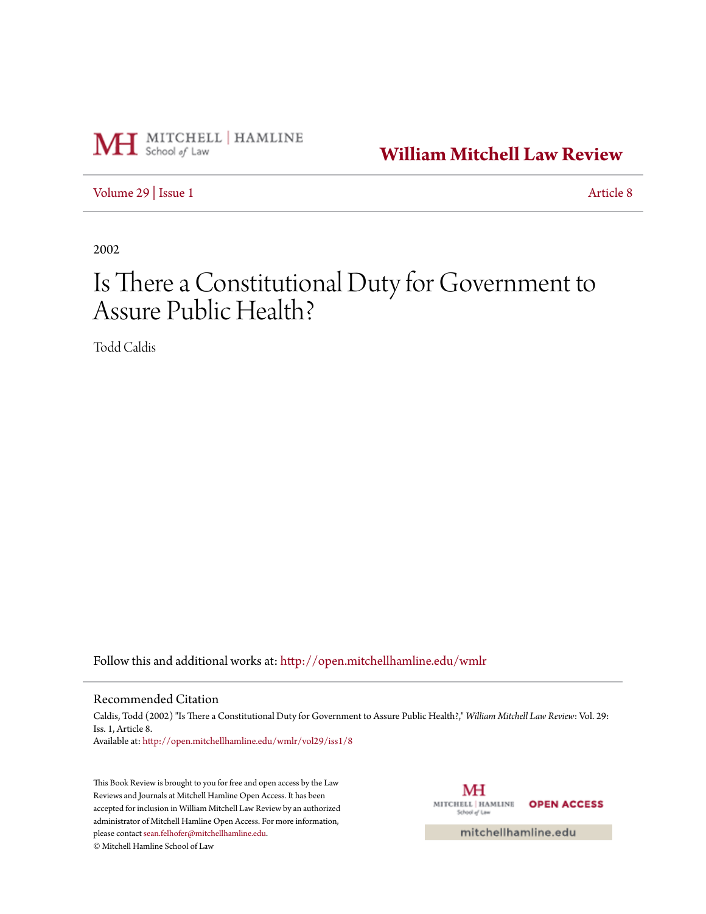

**[William Mitchell Law Review](http://open.mitchellhamline.edu/wmlr?utm_source=open.mitchellhamline.edu%2Fwmlr%2Fvol29%2Fiss1%2F8&utm_medium=PDF&utm_campaign=PDFCoverPages)**

[Volume 29](http://open.mitchellhamline.edu/wmlr/vol29?utm_source=open.mitchellhamline.edu%2Fwmlr%2Fvol29%2Fiss1%2F8&utm_medium=PDF&utm_campaign=PDFCoverPages) | [Issue 1](http://open.mitchellhamline.edu/wmlr/vol29/iss1?utm_source=open.mitchellhamline.edu%2Fwmlr%2Fvol29%2Fiss1%2F8&utm_medium=PDF&utm_campaign=PDFCoverPages) [Article 8](http://open.mitchellhamline.edu/wmlr/vol29/iss1/8?utm_source=open.mitchellhamline.edu%2Fwmlr%2Fvol29%2Fiss1%2F8&utm_medium=PDF&utm_campaign=PDFCoverPages)

2002

## Is There a Constitutional Duty for Government to Assure Public Health?

Todd Caldis

Follow this and additional works at: [http://open.mitchellhamline.edu/wmlr](http://open.mitchellhamline.edu/wmlr?utm_source=open.mitchellhamline.edu%2Fwmlr%2Fvol29%2Fiss1%2F8&utm_medium=PDF&utm_campaign=PDFCoverPages)

## Recommended Citation

Caldis, Todd (2002) "Is There a Constitutional Duty for Government to Assure Public Health?," *William Mitchell Law Review*: Vol. 29: Iss. 1, Article 8. Available at: [http://open.mitchellhamline.edu/wmlr/vol29/iss1/8](http://open.mitchellhamline.edu/wmlr/vol29/iss1/8?utm_source=open.mitchellhamline.edu%2Fwmlr%2Fvol29%2Fiss1%2F8&utm_medium=PDF&utm_campaign=PDFCoverPages)

This Book Review is brought to you for free and open access by the Law Reviews and Journals at Mitchell Hamline Open Access. It has been accepted for inclusion in William Mitchell Law Review by an authorized administrator of Mitchell Hamline Open Access. For more information, please contact [sean.felhofer@mitchellhamline.edu.](mailto:sean.felhofer@mitchellhamline.edu)

© Mitchell Hamline School of Law

MH MITCHELL | HAMLINE **OPEN ACCESS** School of Law

mitchellhamline.edu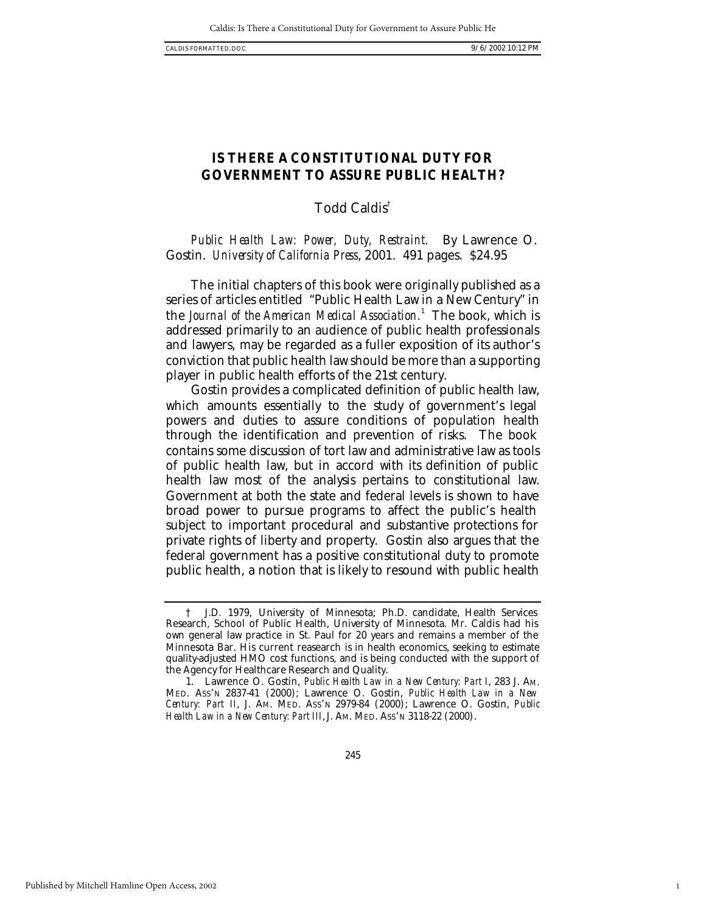1

## **IS THERE A CONSTITUTIONAL DUTY FOR GOVERNMENT TO ASSURE PUBLIC HEALTH?**

Todd Caldis†

*Public Health Law: Power, Duty, Restraint.* By Lawrence O. Gostin. *University of California Press*, 2001. 491 pages. \$24.95

The initial chapters of this book were originally published as a series of articles entitled "Public Health Law in a New Century" in the *Journal of the American Medical Association.*<sup>1</sup> The book, which is addressed primarily to an audience of public health professionals and lawyers, may be regarded as a fuller exposition of its author's conviction that public health law should be more than a supporting player in public health efforts of the 21st century.

Gostin provides a complicated definition of public health law, which amounts essentially to the study of government's legal powers and duties to assure conditions of population health through the identification and prevention of risks. The book contains some discussion of tort law and administrative law as tools of public health law, but in accord with its definition of public health law most of the analysis pertains to constitutional law. Government at both the state and federal levels is shown to have broad power to pursue programs to affect the public's health subject to important procedural and substantive protections for private rights of liberty and property. Gostin also argues that the federal government has a positive constitutional duty to promote public health, a notion that is likely to resound with public health

<sup>†</sup> J.D. 1979, University of Minnesota; Ph.D. candidate, Health Services Research, School of Public Health, University of Minnesota. Mr. Caldis had his own general law practice in St. Paul for 20 years and remains a member of the Minnesota Bar. His current reasearch is in health economics, seeking to estimate quality-adjusted HMO cost functions, and is being conducted with the support of the Agency for Healthcare Research and Quality.

<sup>1.</sup> Lawrence O. Gostin, *Public Health Law in a New Century: Part I*, 283 J. AM. MED. ASS'N 2837-41 (2000); Lawrence O. Gostin, *Public Health Law in a New Century: Part II*, J. AM. MED. ASS'N 2979-84 (2000); Lawrence O. Gostin, *Public*  Health Law in a New Century: Part III, J. Am. MED. Ass'n 3118-22 (2000).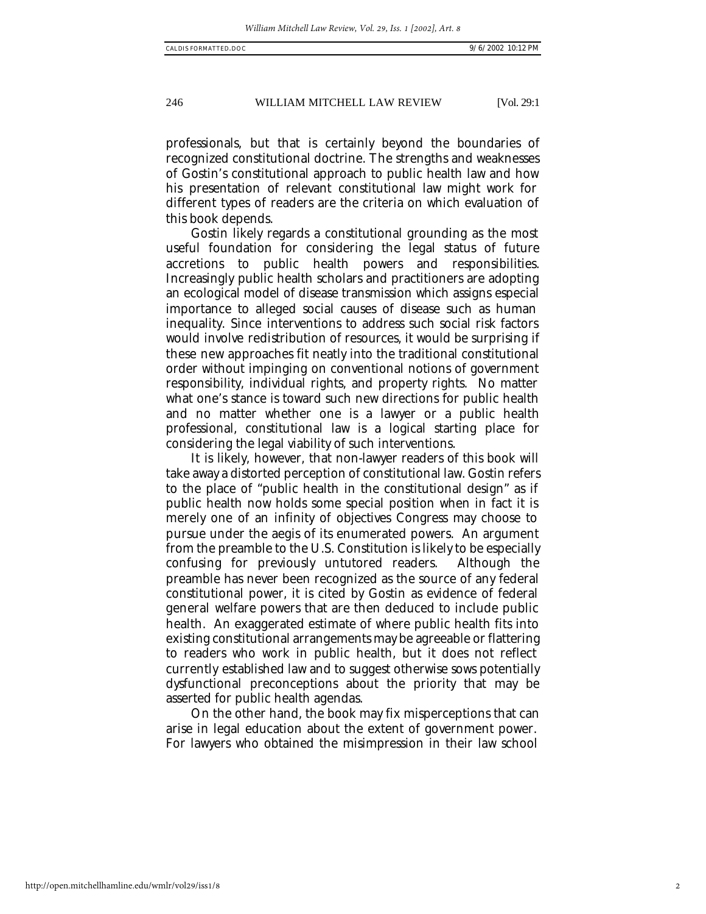246 WILLIAM MITCHELL LAW REVIEW [Vol. 29:1

professionals, but that is certainly beyond the boundaries of recognized constitutional doctrine. The strengths and weaknesses of Gostin's constitutional approach to public health law and how his presentation of relevant constitutional law might work for different types of readers are the criteria on which evaluation of this book depends.

Gostin likely regards a constitutional grounding as the most useful foundation for considering the legal status of future accretions to public health powers and responsibilities. Increasingly public health scholars and practitioners are adopting an ecological model of disease transmission which assigns especial importance to alleged social causes of disease such as human inequality. Since interventions to address such social risk factors would involve redistribution of resources, it would be surprising if these new approaches fit neatly into the traditional constitutional order without impinging on conventional notions of government responsibility, individual rights, and property rights. No matter what one's stance is toward such new directions for public health and no matter whether one is a lawyer or a public health professional, constitutional law is a logical starting place for considering the legal viability of such interventions.

It is likely, however, that non-lawyer readers of this book will take away a distorted perception of constitutional law. Gostin refers to the place of "public health in the constitutional design" as if public health now holds some special position when in fact it is merely one of an infinity of objectives Congress may choose to pursue under the aegis of its enumerated powers. An argument from the preamble to the U.S. Constitution is likely to be especially confusing for previously untutored readers. Although the preamble has never been recognized as the source of any federal constitutional power, it is cited by Gostin as evidence of federal general welfare powers that are then deduced to include public health. An exaggerated estimate of where public health fits into existing constitutional arrangements may be agreeable or flattering to readers who work in public health, but it does not reflect currently established law and to suggest otherwise sows potentially dysfunctional preconceptions about the priority that may be asserted for public health agendas.

On the other hand, the book may fix misperceptions that can arise in legal education about the extent of government power. For lawyers who obtained the misimpression in their law school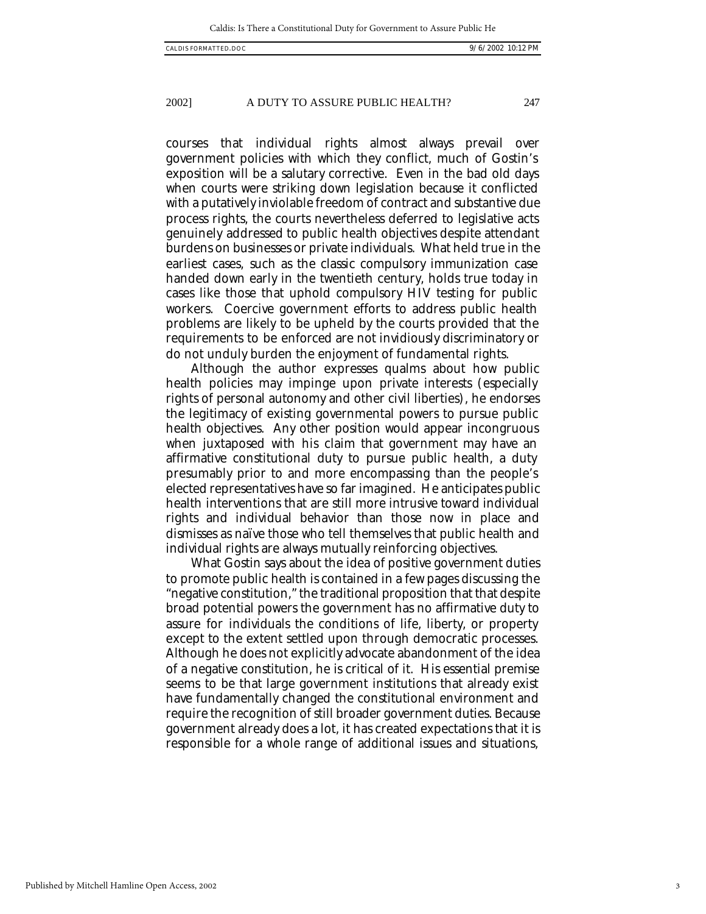Published by Mitchell Hamline Open Access, 2002

courses that individual rights almost always prevail over government policies with which they conflict, much of Gostin's exposition will be a salutary corrective. Even in the bad old days when courts were striking down legislation because it conflicted with a putatively inviolable freedom of contract and substantive due process rights, the courts nevertheless deferred to legislative acts genuinely addressed to public health objectives despite attendant burdens on businesses or private individuals. What held true in the earliest cases, such as the classic compulsory immunization case handed down early in the twentieth century, holds true today in cases like those that uphold compulsory HIV testing for public workers. Coercive government efforts to address public health problems are likely to be upheld by the courts provided that the requirements to be enforced are not invidiously discriminatory or do not unduly burden the enjoyment of fundamental rights.

Although the author expresses qualms about how public health policies may impinge upon private interests (especially rights of personal autonomy and other civil liberties), he endorses the legitimacy of existing governmental powers to pursue public health objectives. Any other position would appear incongruous when juxtaposed with his claim that government may have an affirmative constitutional duty to pursue public health, a duty presumably prior to and more encompassing than the people's elected representatives have so far imagined. He anticipates public health interventions that are still more intrusive toward individual rights and individual behavior than those now in place and dismisses as naïve those who tell themselves that public health and individual rights are always mutually reinforcing objectives.

What Gostin says about the idea of positive government duties to promote public health is contained in a few pages discussing the "negative constitution," the traditional proposition that that despite broad potential powers the government has no affirmative duty to assure for individuals the conditions of life, liberty, or property except to the extent settled upon through democratic processes. Although he does not explicitly advocate abandonment of the idea of a negative constitution, he is critical of it. His essential premise seems to be that large government institutions that already exist have fundamentally changed the constitutional environment and require the recognition of still broader government duties. Because government already does a lot, it has created expectations that it is responsible for a whole range of additional issues and situations,

## 2002] A DUTY TO ASSURE PUBLIC HEALTH? 247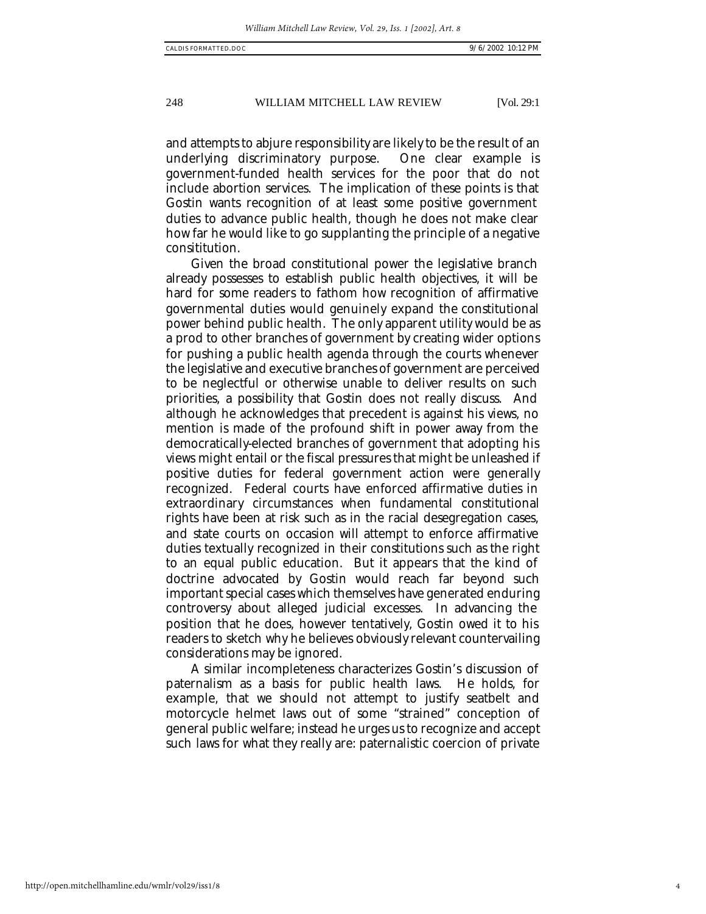248 WILLIAM MITCHELL LAW REVIEW [Vol. 29:1

and attempts to abjure responsibility are likely to be the result of an underlying discriminatory purpose. One clear example is government-funded health services for the poor that do not include abortion services. The implication of these points is that Gostin wants recognition of at least some positive government duties to advance public health, though he does not make clear how far he would like to go supplanting the principle of a negative consititution.

Given the broad constitutional power the legislative branch already possesses to establish public health objectives, it will be hard for some readers to fathom how recognition of affirmative governmental duties would genuinely expand the constitutional power behind public health. The only apparent utility would be as a prod to other branches of government by creating wider options for pushing a public health agenda through the courts whenever the legislative and executive branches of government are perceived to be neglectful or otherwise unable to deliver results on such priorities, a possibility that Gostin does not really discuss. And although he acknowledges that precedent is against his views, no mention is made of the profound shift in power away from the democratically-elected branches of government that adopting his views might entail or the fiscal pressures that might be unleashed if positive duties for federal government action were generally recognized. Federal courts have enforced affirmative duties in extraordinary circumstances when fundamental constitutional rights have been at risk such as in the racial desegregation cases, and state courts on occasion will attempt to enforce affirmative duties textually recognized in their constitutions such as the right to an equal public education. But it appears that the kind of doctrine advocated by Gostin would reach far beyond such important special cases which themselves have generated enduring controversy about alleged judicial excesses. In advancing the position that he does, however tentatively, Gostin owed it to his readers to sketch why he believes obviously relevant countervailing considerations may be ignored.

A similar incompleteness characterizes Gostin's discussion of paternalism as a basis for public health laws. He holds, for example, that we should not attempt to justify seatbelt and motorcycle helmet laws out of some "strained" conception of general public welfare; instead he urges us to recognize and accept such laws for what they really are: paternalistic coercion of private

http://open.mitchellhamline.edu/wmlr/vol29/iss1/8

4